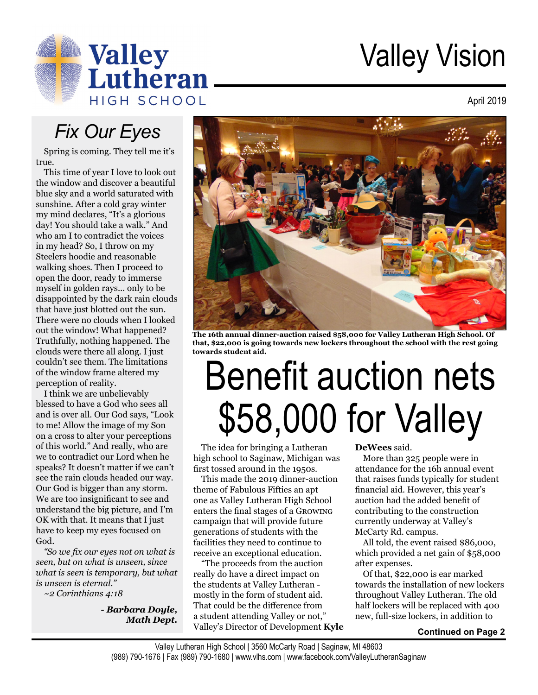

## Valley Vision

April 2019

#### *Fix Our Eyes*

Spring is coming. They tell me it's true.

This time of year I love to look out the window and discover a beautiful blue sky and a world saturated with sunshine. After a cold gray winter my mind declares, "It's a glorious day! You should take a walk." And who am I to contradict the voices in my head? So, I throw on my Steelers hoodie and reasonable walking shoes. Then I proceed to open the door, ready to immerse myself in golden rays... only to be disappointed by the dark rain clouds that have just blotted out the sun. There were no clouds when I looked out the window! What happened? Truthfully, nothing happened. The clouds were there all along. I just couldn't see them. The limitations of the window frame altered my perception of reality.

I think we are unbelievably blessed to have a God who sees all and is over all. Our God says, "Look to me! Allow the image of my Son on a cross to alter your perceptions of this world." And really, who are we to contradict our Lord when he speaks? It doesn't matter if we can't see the rain clouds headed our way. Our God is bigger than any storm. We are too insignificant to see and understand the big picture, and I'm OK with that. It means that I just have to keep my eyes focused on God.

*"So we fix our eyes not on what is seen, but on what is unseen, since what is seen is temporary, but what is unseen is eternal."* 

*~2 Corinthians 4:18*

*- Barbara Doyle, Math Dept.*



**The 16th annual dinner-auction raised \$58,000 for Valley Lutheran High School. Of that, \$22,000 is going towards new lockers throughout the school with the rest going towards student aid.**

# Benefit auction nets \$58,000 for Valley

The idea for bringing a Lutheran high school to Saginaw, Michigan was first tossed around in the 1950s.

This made the 2019 dinner-auction theme of Fabulous Fifties an apt one as Valley Lutheran High School enters the final stages of a Growing campaign that will provide future generations of students with the facilities they need to continue to receive an exceptional education.

"The proceeds from the auction really do have a direct impact on the students at Valley Lutheran mostly in the form of student aid. That could be the difference from a student attending Valley or not," Valley's Director of Development **Kyle** 

#### **DeWees** said.

More than 325 people were in attendance for the 16h annual event that raises funds typically for student financial aid. However, this year's auction had the added benefit of contributing to the construction currently underway at Valley's McCarty Rd. campus.

All told, the event raised \$86,000, which provided a net gain of \$58,000 after expenses.

Of that, \$22,000 is ear marked towards the installation of new lockers throughout Valley Lutheran. The old half lockers will be replaced with 400 new, full-size lockers, in addition to